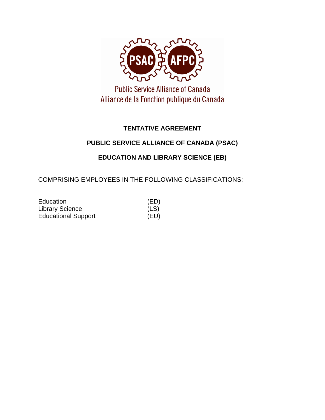

**Public Service Alliance of Canada** Alliance de la Fonction publique du Canada

## **TENTATIVE AGREEMENT**

## **PUBLIC SERVICE ALLIANCE OF CANADA (PSAC)**

## **EDUCATION AND LIBRARY SCIENCE (EB)**

COMPRISING EMPLOYEES IN THE FOLLOWING CLASSIFICATIONS:

| Education                  | (ED) |
|----------------------------|------|
| <b>Library Science</b>     | (LS) |
| <b>Educational Support</b> | (EU) |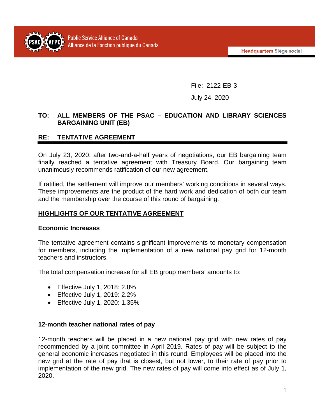

File: 2122-EB-3

July 24, 2020

#### **TO: ALL MEMBERS OF THE PSAC – EDUCATION AND LIBRARY SCIENCES BARGAINING UNIT (EB)**

## **RE: TENTATIVE AGREEMENT**

On July 23, 2020, after two-and-a-half years of negotiations, our EB bargaining team finally reached a tentative agreement with Treasury Board. Our bargaining team unanimously recommends ratification of our new agreement.

If ratified, the settlement will improve our members' working conditions in several ways. These improvements are the product of the hard work and dedication of both our team and the membership over the course of this round of bargaining.

## **HIGHLIGHTS OF OUR TENTATIVE AGREEMENT**

#### **Economic Increases**

The tentative agreement contains significant improvements to monetary compensation for members, including the implementation of a new national pay grid for 12-month teachers and instructors.

The total compensation increase for all EB group members' amounts to:

- Effective July 1, 2018: 2.8%
- Effective July 1, 2019: 2.2%
- Effective July 1, 2020: 1.35%

#### **12-month teacher national rates of pay**

12-month teachers will be placed in a new national pay grid with new rates of pay recommended by a joint committee in April 2019. Rates of pay will be subject to the general economic increases negotiated in this round. Employees will be placed into the new grid at the rate of pay that is closest, but not lower, to their rate of pay prior to implementation of the new grid. The new rates of pay will come into effect as of July 1, 2020.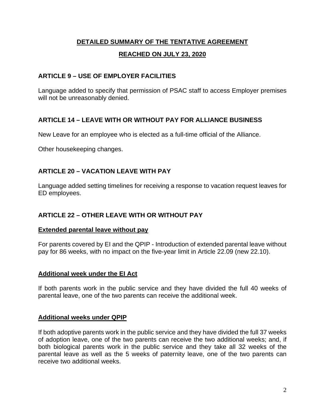## **DETAILED SUMMARY OF THE TENTATIVE AGREEMENT**

#### **REACHED ON JULY 23, 2020**

#### **ARTICLE 9 – USE OF EMPLOYER FACILITIES**

Language added to specify that permission of PSAC staff to access Employer premises will not be unreasonably denied.

## **ARTICLE 14 – LEAVE WITH OR WITHOUT PAY FOR ALLIANCE BUSINESS**

New Leave for an employee who is elected as a full-time official of the Alliance.

Other housekeeping changes.

## **ARTICLE 20 – VACATION LEAVE WITH PAY**

Language added setting timelines for receiving a response to vacation request leaves for ED employees.

#### **ARTICLE 22 – OTHER LEAVE WITH OR WITHOUT PAY**

#### **Extended parental leave without pay**

For parents covered by EI and the QPIP - Introduction of extended parental leave without pay for 86 weeks, with no impact on the five-year limit in Article 22.09 (new 22.10).

#### **Additional week under the EI Act**

If both parents work in the public service and they have divided the full 40 weeks of parental leave, one of the two parents can receive the additional week.

#### **Additional weeks under QPIP**

If both adoptive parents work in the public service and they have divided the full 37 weeks of adoption leave, one of the two parents can receive the two additional weeks; and, if both biological parents work in the public service and they take all 32 weeks of the parental leave as well as the 5 weeks of paternity leave, one of the two parents can receive two additional weeks.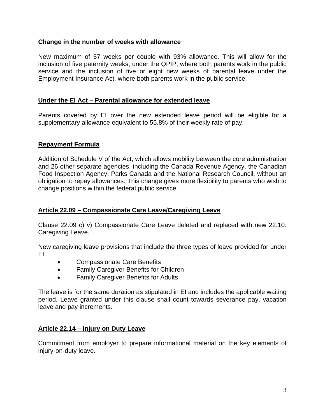#### **Change in the number of weeks with allowance**

New maximum of 57 weeks per couple with 93% allowance. This will allow for the inclusion of five paternity weeks, under the QPIP, where both parents work in the public service and the inclusion of five or eight new weeks of parental leave under the Employment Insurance Act, where both parents work in the public service.

#### **Under the EI Act – Parental allowance for extended leave**

Parents covered by EI over the new extended leave period will be eligible for a supplementary allowance equivalent to 55.8% of their weekly rate of pay.

#### **Repayment Formula**

Addition of Schedule V of the Act, which allows mobility between the core administration and 26 other separate agencies, including the Canada Revenue Agency, the Canadian Food Inspection Agency, Parks Canada and the National Research Council, without an obligation to repay allowances. This change gives more flexibility to parents who wish to change positions within the federal public service.

#### **Article 22.09 – Compassionate Care Leave/Caregiving Leave**

Clause 22.09 c) v) Compassionate Care Leave deleted and replaced with new 22.10: Caregiving Leave.

New caregiving leave provisions that include the three types of leave provided for under EI:

- Compassionate Care Benefits
- Family Caregiver Benefits for Children
- Family Caregiver Benefits for Adults

The leave is for the same duration as stipulated in EI and includes the applicable waiting period. Leave granted under this clause shall count towards severance pay, vacation leave and pay increments.

#### **Article 22.14 – Injury on Duty Leave**

Commitment from employer to prepare informational material on the key elements of injury-on-duty leave.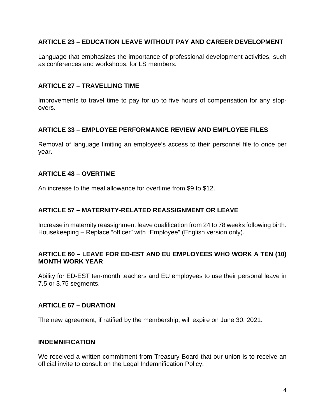### **ARTICLE 23 – EDUCATION LEAVE WITHOUT PAY AND CAREER DEVELOPMENT**

Language that emphasizes the importance of professional development activities, such as conferences and workshops, for LS members.

#### **ARTICLE 27 – TRAVELLING TIME**

Improvements to travel time to pay for up to five hours of compensation for any stopovers.

## **ARTICLE 33 – EMPLOYEE PERFORMANCE REVIEW AND EMPLOYEE FILES**

Removal of language limiting an employee's access to their personnel file to once per year.

#### **ARTICLE 48 – OVERTIME**

An increase to the meal allowance for overtime from \$9 to \$12.

## **ARTICLE 57 – MATERNITY-RELATED REASSIGNMENT OR LEAVE**

Increase in maternity reassignment leave qualification from 24 to 78 weeks following birth. Housekeeping – Replace "officer" with "Employee" (English version only).

#### **ARTICLE 60 – LEAVE FOR ED-EST AND EU EMPLOYEES WHO WORK A TEN (10) MONTH WORK YEAR**

Ability for ED-EST ten-month teachers and EU employees to use their personal leave in 7.5 or 3.75 segments.

#### **ARTICLE 67 – DURATION**

The new agreement, if ratified by the membership, will expire on June 30, 2021.

#### **INDEMNIFICATION**

We received a written commitment from Treasury Board that our union is to receive an official invite to consult on the Legal Indemnification Policy.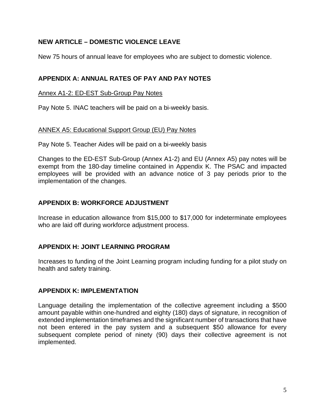## **NEW ARTICLE – DOMESTIC VIOLENCE LEAVE**

New 75 hours of annual leave for employees who are subject to domestic violence.

## **APPENDIX A: ANNUAL RATES OF PAY AND PAY NOTES**

#### Annex A1-2: ED-EST Sub-Group Pay Notes

Pay Note 5. INAC teachers will be paid on a bi-weekly basis.

## ANNEX A5: Educational Support Group (EU) Pay Notes

Pay Note 5. Teacher Aides will be paid on a bi-weekly basis

Changes to the ED-EST Sub-Group (Annex A1-2) and EU (Annex A5) pay notes will be exempt from the 180-day timeline contained in Appendix K. The PSAC and impacted employees will be provided with an advance notice of 3 pay periods prior to the implementation of the changes.

## **APPENDIX B: WORKFORCE ADJUSTMENT**

Increase in education allowance from \$15,000 to \$17,000 for indeterminate employees who are laid off during workforce adjustment process.

#### **APPENDIX H: JOINT LEARNING PROGRAM**

Increases to funding of the Joint Learning program including funding for a pilot study on health and safety training.

## **APPENDIX K: IMPLEMENTATION**

Language detailing the implementation of the collective agreement including a \$500 amount payable within one-hundred and eighty (180) days of signature, in recognition of extended implementation timeframes and the significant number of transactions that have not been entered in the pay system and a subsequent \$50 allowance for every subsequent complete period of ninety (90) days their collective agreement is not implemented.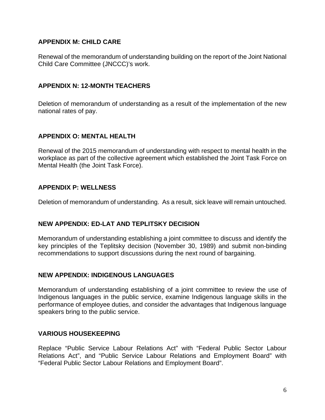## **APPENDIX M: CHILD CARE**

Renewal of the memorandum of understanding building on the report of the Joint National Child Care Committee (JNCCC)'s work.

#### **APPENDIX N: 12-MONTH TEACHERS**

Deletion of memorandum of understanding as a result of the implementation of the new national rates of pay.

#### **APPENDIX O: MENTAL HEALTH**

Renewal of the 2015 memorandum of understanding with respect to mental health in the workplace as part of the collective agreement which established the Joint Task Force on Mental Health (the Joint Task Force).

#### **APPENDIX P: WELLNESS**

Deletion of memorandum of understanding. As a result, sick leave will remain untouched.

## **NEW APPENDIX: ED-LAT AND TEPLITSKY DECISION**

Memorandum of understanding establishing a joint committee to discuss and identify the key principles of the Teplitsky decision (November 30, 1989) and submit non-binding recommendations to support discussions during the next round of bargaining.

#### **NEW APPENDIX: INDIGENOUS LANGUAGES**

Memorandum of understanding establishing of a joint committee to review the use of Indigenous languages in the public service, examine Indigenous language skills in the performance of employee duties, and consider the advantages that Indigenous language speakers bring to the public service.

#### **VARIOUS HOUSEKEEPING**

Replace "Public Service Labour Relations Act" with "Federal Public Sector Labour Relations Act", and "Public Service Labour Relations and Employment Board" with "Federal Public Sector Labour Relations and Employment Board".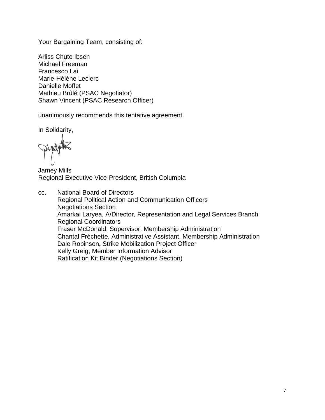Your Bargaining Team, consisting of:

Arliss Chute Ibsen Michael Freeman Francesco Lai Marie-Hélène Leclerc Danielle Moffet Mathieu Brûlé (PSAC Negotiator) Shawn Vincent (PSAC Research Officer)

unanimously recommends this tentative agreement.

In Solidarity,

Jamey Mills Regional Executive Vice-President, British Columbia

cc. National Board of Directors Regional Political Action and Communication Officers Negotiations Section Amarkai Laryea, A/Director, Representation and Legal Services Branch Regional Coordinators Fraser McDonald, Supervisor, Membership Administration Chantal Fréchette, Administrative Assistant, Membership Administration Dale Robinson**,** Strike Mobilization Project Officer Kelly Greig, Member Information Advisor Ratification Kit Binder (Negotiations Section)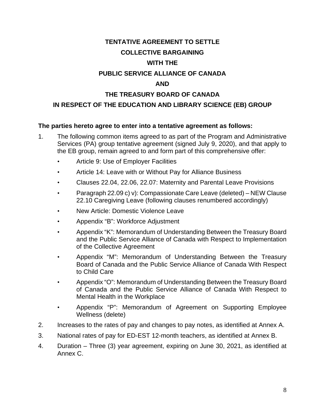# **TENTATIVE AGREEMENT TO SETTLE**

## **COLLECTIVE BARGAINING**

## **WITH THE**

## **PUBLIC SERVICE ALLIANCE OF CANADA**

## **AND**

## **THE TREASURY BOARD OF CANADA**

## **IN RESPECT OF THE EDUCATION AND LIBRARY SCIENCE (EB) GROUP**

#### **The parties hereto agree to enter into a tentative agreement as follows:**

- 1. The following common items agreed to as part of the Program and Administrative Services (PA) group tentative agreement (signed July 9, 2020), and that apply to the EB group, remain agreed to and form part of this comprehensive offer:
	- Article 9: Use of Employer Facilities
	- Article 14: Leave with or Without Pay for Alliance Business
	- Clauses 22.04, 22.06, 22.07: Maternity and Parental Leave Provisions
	- Paragraph 22.09 c) v): Compassionate Care Leave (deleted) NEW Clause 22.10 Caregiving Leave (following clauses renumbered accordingly)
	- New Article: Domestic Violence Leave
	- Appendix "B": Workforce Adjustment
	- Appendix "K": Memorandum of Understanding Between the Treasury Board and the Public Service Alliance of Canada with Respect to Implementation of the Collective Agreement
	- Appendix "M": Memorandum of Understanding Between the Treasury Board of Canada and the Public Service Alliance of Canada With Respect to Child Care
	- Appendix "O": Memorandum of Understanding Between the Treasury Board of Canada and the Public Service Alliance of Canada With Respect to Mental Health in the Workplace
	- Appendix "P": Memorandum of Agreement on Supporting Employee Wellness (delete)
- 2. Increases to the rates of pay and changes to pay notes, as identified at Annex A.
- 3. National rates of pay for ED-EST 12-month teachers, as identified at Annex B.
- 4. Duration Three (3) year agreement, expiring on June 30, 2021, as identified at Annex C.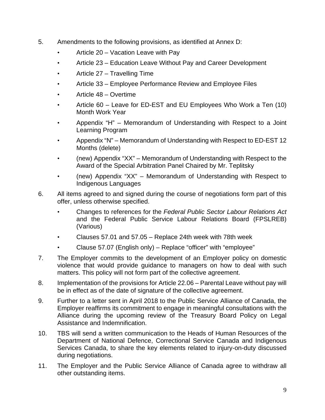- 5. Amendments to the following provisions, as identified at Annex D:
	- Article 20 Vacation Leave with Pay
	- Article 23 Education Leave Without Pay and Career Development
	- Article 27 Travelling Time
	- Article 33 Employee Performance Review and Employee Files
	- Article 48 Overtime
	- Article 60 Leave for ED-EST and EU Employees Who Work a Ten (10) Month Work Year
	- Appendix "H" Memorandum of Understanding with Respect to a Joint Learning Program
	- Appendix "N" Memorandum of Understanding with Respect to ED-EST 12 Months (delete)
	- (new) Appendix "XX" Memorandum of Understanding with Respect to the Award of the Special Arbitration Panel Chaired by Mr. Teplitsky
	- (new) Appendix "XX" Memorandum of Understanding with Respect to Indigenous Languages
- 6. All items agreed to and signed during the course of negotiations form part of this offer, unless otherwise specified.
	- Changes to references for the *Federal Public Sector Labour Relations Act* and the Federal Public Service Labour Relations Board (FPSLREB) (Various)
	- Clauses 57.01 and 57.05 Replace 24th week with 78th week
	- Clause 57.07 (English only) Replace "officer" with "employee"
- 7. The Employer commits to the development of an Employer policy on domestic violence that would provide guidance to managers on how to deal with such matters. This policy will not form part of the collective agreement.
- 8. Implementation of the provisions for Article 22.06 Parental Leave without pay will be in effect as of the date of signature of the collective agreement.
- 9. Further to a letter sent in April 2018 to the Public Service Alliance of Canada, the Employer reaffirms its commitment to engage in meaningful consultations with the Alliance during the upcoming review of the Treasury Board Policy on Legal Assistance and Indemnification.
- 10. TBS will send a written communication to the Heads of Human Resources of the Department of National Defence, Correctional Service Canada and Indigenous Services Canada, to share the key elements related to injury-on-duty discussed during negotiations.
- 11. The Employer and the Public Service Alliance of Canada agree to withdraw all other outstanding items.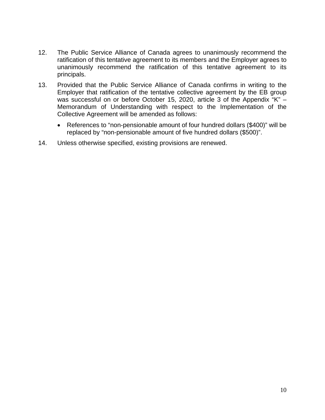- 12. The Public Service Alliance of Canada agrees to unanimously recommend the ratification of this tentative agreement to its members and the Employer agrees to unanimously recommend the ratification of this tentative agreement to its principals.
- 13. Provided that the Public Service Alliance of Canada confirms in writing to the Employer that ratification of the tentative collective agreement by the EB group was successful on or before October 15, 2020, article 3 of the Appendix "K" – Memorandum of Understanding with respect to the Implementation of the Collective Agreement will be amended as follows:
	- References to "non-pensionable amount of four hundred dollars (\$400)" will be replaced by "non-pensionable amount of five hundred dollars (\$500)".
- 14. Unless otherwise specified, existing provisions are renewed.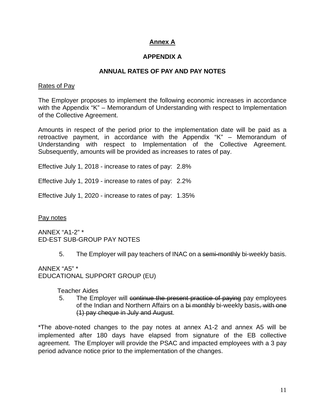## **Annex A**

## **APPENDIX A**

#### **ANNUAL RATES OF PAY AND PAY NOTES**

#### Rates of Pay

The Employer proposes to implement the following economic increases in accordance with the Appendix "K" – Memorandum of Understanding with respect to Implementation of the Collective Agreement.

Amounts in respect of the period prior to the implementation date will be paid as a retroactive payment, in accordance with the Appendix "K" – Memorandum of Understanding with respect to Implementation of the Collective Agreement. Subsequently, amounts will be provided as increases to rates of pay.

Effective July 1, 2018 - increase to rates of pay: 2.8%

Effective July 1, 2019 - increase to rates of pay: 2.2%

Effective July 1, 2020 - increase to rates of pay: 1.35%

Pay notes

ANNEX "A1-2" \* ED-EST SUB-GROUP PAY NOTES

5. The Employer will pay teachers of INAC on a semi-monthly bi-weekly basis.

ANNEX "A5" \* EDUCATIONAL SUPPORT GROUP (EU)

Teacher Aides

5. The Employer will continue the present practice of paying pay employees of the Indian and Northern Affairs on a bi monthly bi-weekly basis, with one (1) pay cheque in July and August.

\*The above-noted changes to the pay notes at annex A1-2 and annex A5 will be implemented after 180 days have elapsed from signature of the EB collective agreement. The Employer will provide the PSAC and impacted employees with a 3 pay period advance notice prior to the implementation of the changes.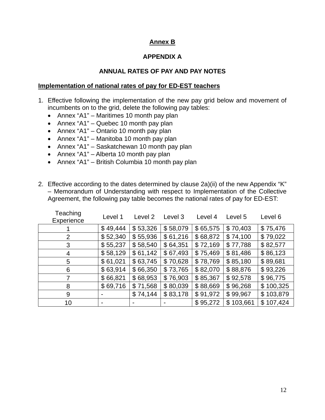## **Annex B**

## **APPENDIX A**

## **ANNUAL RATES OF PAY AND PAY NOTES**

#### **Implementation of national rates of pay for ED-EST teachers**

- 1. Effective following the implementation of the new pay grid below and movement of incumbents on to the grid, delete the following pay tables:
	- Annex "A1" Maritimes 10 month pay plan
	- Annex "A1" Quebec 10 month pay plan
	- Annex "A1" Ontario 10 month pay plan
	- Annex "A1" Manitoba 10 month pay plan
	- Annex "A1" Saskatchewan 10 month pay plan
	- Annex "A1" Alberta 10 month pay plan
	- Annex "A1" British Columbia 10 month pay plan
- 2. Effective according to the dates determined by clause 2a)(ii) of the new Appendix "K" – Memorandum of Understanding with respect to Implementation of the Collective Agreement, the following pay table becomes the national rates of pay for ED-EST:

| Teaching<br>Experience | Level 1  | Level 2  | Level 3  | Level 4  | Level 5       | Level 6   |
|------------------------|----------|----------|----------|----------|---------------|-----------|
|                        | \$49,444 | \$53,326 | \$58,079 | \$65,575 | \$70,403      | \$75,476  |
| 2                      | \$52,340 | \$55,936 | \$61,216 | \$68,872 | \$74,100      | \$79,022  |
| 3                      | \$55,237 | \$58,540 | \$64,351 | \$72,169 | \$77,788      | \$82,577  |
| 4                      | \$58,129 | \$61,142 | \$67,493 | \$75,469 | \$81,486      | \$86,123  |
| 5                      | \$61,021 | \$63,745 | \$70,628 | \$78,769 | \$85,180      | \$89,681  |
| 6                      | \$63,914 | \$66,350 | \$73,765 | \$82,070 | \$88,876      | \$93,226  |
| 7                      | \$66,821 | \$68,953 | \$76,903 | \$85,367 | \$92,578      | \$96,775  |
| 8                      | \$69,716 | \$71,568 | \$80,039 | \$88,669 | \$96,268      | \$100,325 |
| 9                      |          | \$74,144 | \$83,178 | \$91,972 | \$99,967      | \$103,879 |
| 10                     | ٠        |          |          | \$95,272 | 103,661<br>\$ | \$107,424 |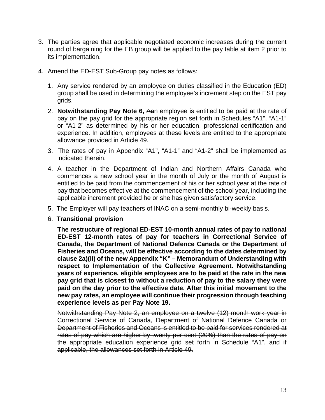- 3. The parties agree that applicable negotiated economic increases during the current round of bargaining for the EB group will be applied to the pay table at item 2 prior to its implementation.
- 4. Amend the ED-EST Sub-Group pay notes as follows:
	- 1. Any service rendered by an employee on duties classified in the Education (ED) group shall be used in determining the employee's increment step on the EST pay grids.
	- 2. **Notwithstanding Pay Note 6,** A**a**n employee is entitled to be paid at the rate of pay on the pay grid for the appropriate region set forth in Schedules "A1", "A1-1" or "A1-2" as determined by his or her education, professional certification and experience. In addition, employees at these levels are entitled to the appropriate allowance provided in Article 49.
	- 3. The rates of pay in Appendix "A1", "A1-1" and "A1-2" shall be implemented as indicated therein.
	- 4. A teacher in the Department of Indian and Northern Affairs Canada who commences a new school year in the month of July or the month of August is entitled to be paid from the commencement of his or her school year at the rate of pay that becomes effective at the commencement of the school year, including the applicable increment provided he or she has given satisfactory service.
	- 5. The Employer will pay teachers of INAC on a semi-monthly bi-weekly basis.
	- 6. **Transitional provision**

**The restructure of regional ED-EST 10-month annual rates of pay to national ED-EST 12-month rates of pay for teachers in Correctional Service of Canada, the Department of National Defence Canada or the Department of Fisheries and Oceans, will be effective according to the dates determined by clause 2a)(ii) of the new Appendix "K" – Memorandum of Understanding with respect to Implementation of the Collective Agreement. Notwithstanding years of experience, eligible employees are to be paid at the rate in the new pay grid that is closest to without a reduction of pay to the salary they were paid on the day prior to the effective date. After this initial movement to the new pay rates, an employee will continue their progression through teaching experience levels as per Pay Note 19.**

Notwithstanding Pay Note 2, an employee on a twelve (12) month work year in Correctional Service of Canada, Department of National Defence Canada or Department of Fisheries and Oceans is entitled to be paid for services rendered at rates of pay which are higher by twenty per cent (20%) than the rates of pay on the appropriate education experience grid set forth in Schedule "A1", and if applicable, the allowances set forth in Article 49.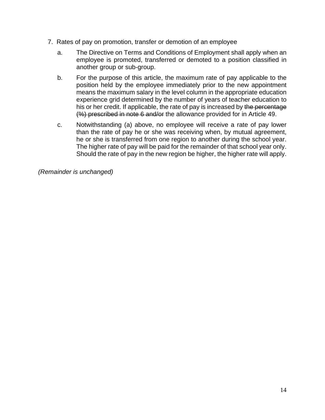- 7. Rates of pay on promotion, transfer or demotion of an employee
	- a. The Directive on Terms and Conditions of Employment shall apply when an employee is promoted, transferred or demoted to a position classified in another group or sub-group.
	- b. For the purpose of this article, the maximum rate of pay applicable to the position held by the employee immediately prior to the new appointment means the maximum salary in the level column in the appropriate education experience grid determined by the number of years of teacher education to his or her credit. If applicable, the rate of pay is increased by the percentage (%) prescribed in note 6 and/or the allowance provided for in Article 49.
	- c. Notwithstanding (a) above, no employee will receive a rate of pay lower than the rate of pay he or she was receiving when, by mutual agreement, he or she is transferred from one region to another during the school year. The higher rate of pay will be paid for the remainder of that school year only. Should the rate of pay in the new region be higher, the higher rate will apply.

*(Remainder is unchanged)*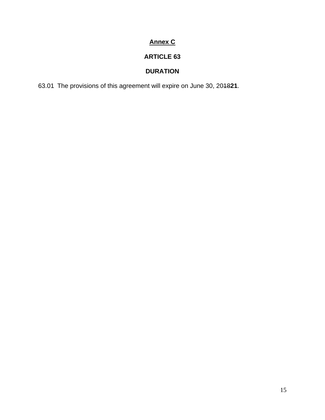## **Annex C**

## **ARTICLE 63**

## **DURATION**

63.01 The provisions of this agreement will expire on June 30, 2018**21**.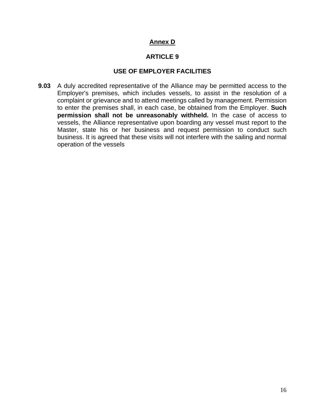## **Annex D**

## **ARTICLE 9**

## **USE OF EMPLOYER FACILITIES**

**9.03** A duly accredited representative of the Alliance may be permitted access to the Employer's premises, which includes vessels, to assist in the resolution of a complaint or grievance and to attend meetings called by management. Permission to enter the premises shall, in each case, be obtained from the Employer. **Such permission shall not be unreasonably withheld.** In the case of access to vessels, the Alliance representative upon boarding any vessel must report to the Master, state his or her business and request permission to conduct such business. It is agreed that these visits will not interfere with the sailing and normal operation of the vessels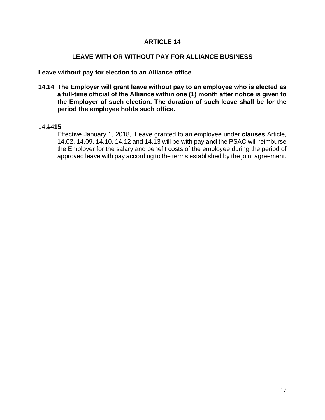#### **LEAVE WITH OR WITHOUT PAY FOR ALLIANCE BUSINESS**

**Leave without pay for election to an Alliance office**

**14.14 The Employer will grant leave without pay to an employee who is elected as a full-time official of the Alliance within one (1) month after notice is given to the Employer of such election. The duration of such leave shall be for the period the employee holds such office.**

#### 14.14**15**

Effective January 1, 2018, l**L**eave granted to an employee under **clauses** Article, 14.02, 14.09, 14.10, 14.12 and 14.13 will be with pay **and** the PSAC will reimburse the Employer for the salary and benefit costs of the employee during the period of approved leave with pay according to the terms established by the joint agreement.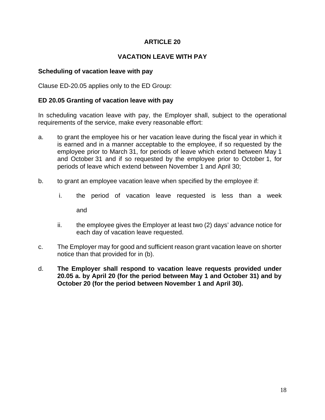## **VACATION LEAVE WITH PAY**

#### **Scheduling of vacation leave with pay**

Clause ED-20.05 applies only to the ED Group:

#### **ED 20.05 Granting of vacation leave with pay**

In scheduling vacation leave with pay, the Employer shall, subject to the operational requirements of the service, make every reasonable effort:

- a. to grant the employee his or her vacation leave during the fiscal year in which it is earned and in a manner acceptable to the employee, if so requested by the employee prior to March 31, for periods of leave which extend between May 1 and October 31 and if so requested by the employee prior to October 1, for periods of leave which extend between November 1 and April 30;
- b. to grant an employee vacation leave when specified by the employee if:
	- i. the period of vacation leave requested is less than a week and
	- ii. the employee gives the Employer at least two (2) days' advance notice for each day of vacation leave requested.
- c. The Employer may for good and sufficient reason grant vacation leave on shorter notice than that provided for in (b).
- d. **The Employer shall respond to vacation leave requests provided under 20.05 a. by April 20 (for the period between May 1 and October 31) and by October 20 (for the period between November 1 and April 30).**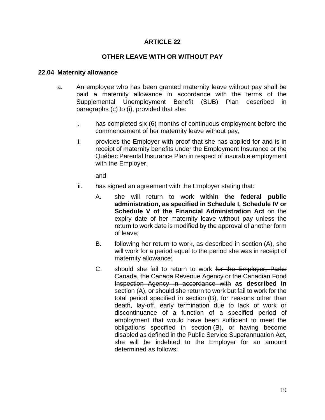#### **OTHER LEAVE WITH OR WITHOUT PAY**

#### **22.04 Maternity allowance**

- a. An employee who has been granted maternity leave without pay shall be paid a maternity allowance in accordance with the terms of the Supplemental Unemployment Benefit (SUB) Plan described in paragraphs (c) to (i), provided that she:
	- i. has completed six (6) months of continuous employment before the commencement of her maternity leave without pay,
	- ii. provides the Employer with proof that she has applied for and is in receipt of maternity benefits under the Employment Insurance or the Québec Parental Insurance Plan in respect of insurable employment with the Employer,

and

- iii. has signed an agreement with the Employer stating that:
	- A. she will return to work **within the federal public administration, as specified in Schedule I, Schedule IV or Schedule V of the Financial Administration Act** on the expiry date of her maternity leave without pay unless the return to work date is modified by the approval of another form of leave;
	- B. following her return to work, as described in section (A), she will work for a period equal to the period she was in receipt of maternity allowance;
	- C. should she fail to return to work for the Employer, Parks Canada, the Canada Revenue Agency or the Canadian Food Inspection Agency in accordance with **as described in** section (A), or should she return to work but fail to work for the total period specified in section (B), for reasons other than death, lay-off, early termination due to lack of work or discontinuance of a function of a specified period of employment that would have been sufficient to meet the obligations specified in section (B), or having become disabled as defined in the Public Service Superannuation Act, she will be indebted to the Employer for an amount determined as follows: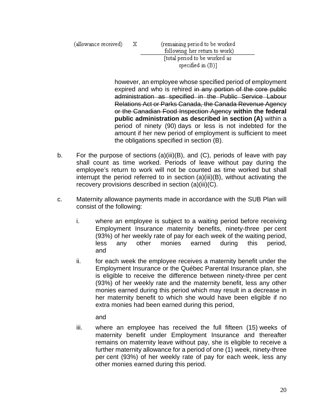(allowance received) Χ (remaining period to be worked following her return to work) [total period to be worked as specified in  $(B)$ ]

however, an employee whose specified period of employment expired and who is rehired in any portion of the core public administration as specified in the Public Service Labour Relations Act or Parks Canada, the Canada Revenue Agency or the Canadian Food Inspection Agency **within the federal public administration as described in section (A)** within a period of ninety (90) days or less is not indebted for the amount if her new period of employment is sufficient to meet the obligations specified in section (B).

- b. For the purpose of sections (a)(iii)(B), and (C), periods of leave with pay shall count as time worked. Periods of leave without pay during the employee's return to work will not be counted as time worked but shall interrupt the period referred to in section (a)(iii)(B), without activating the recovery provisions described in section (a)(iii)(C).
- c. Maternity allowance payments made in accordance with the SUB Plan will consist of the following:
	- i. where an employee is subject to a waiting period before receiving Employment Insurance maternity benefits, ninety-three per cent (93%) of her weekly rate of pay for each week of the waiting period, less any other monies earned during this period, and
	- ii. for each week the employee receives a maternity benefit under the Employment Insurance or the Québec Parental Insurance plan, she is eligible to receive the difference between ninety-three per cent (93%) of her weekly rate and the maternity benefit, less any other monies earned during this period which may result in a decrease in her maternity benefit to which she would have been eligible if no extra monies had been earned during this period,

and

iii. where an employee has received the full fifteen (15) weeks of maternity benefit under Employment Insurance and thereafter remains on maternity leave without pay, she is eligible to receive a further maternity allowance for a period of one (1) week, ninety-three per cent (93%) of her weekly rate of pay for each week, less any other monies earned during this period.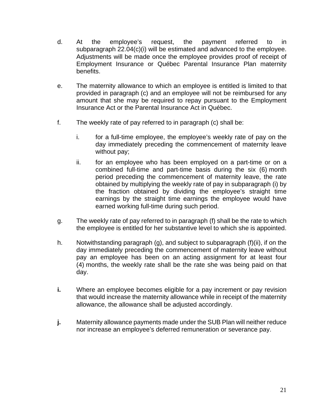- d. At the employee's request, the payment referred to in subparagraph 22.04(c)(i) will be estimated and advanced to the employee. Adjustments will be made once the employee provides proof of receipt of Employment Insurance or Québec Parental Insurance Plan maternity benefits.
- e. The maternity allowance to which an employee is entitled is limited to that provided in paragraph (c) and an employee will not be reimbursed for any amount that she may be required to repay pursuant to the Employment Insurance Act or the Parental Insurance Act in Québec.
- f. The weekly rate of pay referred to in paragraph (c) shall be:
	- i. for a full-time employee, the employee's weekly rate of pay on the day immediately preceding the commencement of maternity leave without pay;
	- ii. for an employee who has been employed on a part-time or on a combined full-time and part-time basis during the six (6) month period preceding the commencement of maternity leave, the rate obtained by multiplying the weekly rate of pay in subparagraph (i) by the fraction obtained by dividing the employee's straight time earnings by the straight time earnings the employee would have earned working full-time during such period.
- g. The weekly rate of pay referred to in paragraph (f) shall be the rate to which the employee is entitled for her substantive level to which she is appointed.
- h. Notwithstanding paragraph (g), and subject to subparagraph (f)(ii), if on the day immediately preceding the commencement of maternity leave without pay an employee has been on an acting assignment for at least four (4) months, the weekly rate shall be the rate she was being paid on that day.
- **i.** Where an employee becomes eligible for a pay increment or pay revision that would increase the maternity allowance while in receipt of the maternity allowance, the allowance shall be adjusted accordingly.
- **j.** Maternity allowance payments made under the SUB Plan will neither reduce nor increase an employee's deferred remuneration or severance pay.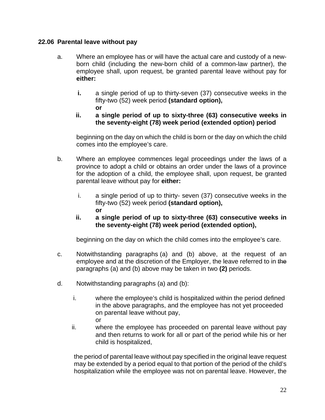#### **22.06 Parental leave without pay**

- a. Where an employee has or will have the actual care and custody of a newborn child (including the new-born child of a common-law partner), the employee shall, upon request, be granted parental leave without pay for **either:**
	- **i.** a single period of up to thirty-seven (37) consecutive weeks in the fifty-two (52) week period **(standard option), or**
	- **ii. a single period of up to sixty-three (63) consecutive weeks in the seventy-eight (78) week period (extended option) period**

beginning on the day on which the child is born or the day on which the child comes into the employee's care.

- b. Where an employee commences legal proceedings under the laws of a province to adopt a child or obtains an order under the laws of a province for the adoption of a child, the employee shall, upon request, be granted parental leave without pay for **either:**
	- i. a single period of up to thirty- seven (37) consecutive weeks in the fifty-two (52) week period **(standard option), or**
	- **ii. a single period of up to sixty-three (63) consecutive weeks in the seventy-eight (78) week period (extended option),**

beginning on the day on which the child comes into the employee's care.

- c. Notwithstanding paragraphs (a) and (b) above, at the request of an employee and at the discretion of the Employer, the leave referred to in the paragraphs (a) and (b) above may be taken in two **(2)** periods.
- d. Notwithstanding paragraphs (a) and (b):
	- i. where the employee's child is hospitalized within the period defined in the above paragraphs, and the employee has not yet proceeded on parental leave without pay, or
	- ii. where the employee has proceeded on parental leave without pay and then returns to work for all or part of the period while his or her child is hospitalized,

the period of parental leave without pay specified in the original leave request may be extended by a period equal to that portion of the period of the child's hospitalization while the employee was not on parental leave. However, the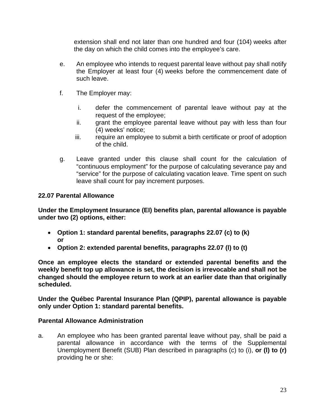extension shall end not later than one hundred and four (104) weeks after the day on which the child comes into the employee's care.

- e. An employee who intends to request parental leave without pay shall notify the Employer at least four (4) weeks before the commencement date of such leave.
- f. The Employer may:
	- i. defer the commencement of parental leave without pay at the request of the employee;
	- ii. grant the employee parental leave without pay with less than four (4) weeks' notice;
	- iii. require an employee to submit a birth certificate or proof of adoption of the child.
- g. Leave granted under this clause shall count for the calculation of "continuous employment" for the purpose of calculating severance pay and "service" for the purpose of calculating vacation leave. Time spent on such leave shall count for pay increment purposes.

## **22.07 Parental Allowance**

**Under the Employment Insurance (EI) benefits plan, parental allowance is payable under two (2) options, either:**

- **Option 1: standard parental benefits, paragraphs 22.07 (c) to (k) or**
- **Option 2: extended parental benefits, paragraphs 22.07 (l) to (t)**

**Once an employee elects the standard or extended parental benefits and the weekly benefit top up allowance is set, the decision is irrevocable and shall not be changed should the employee return to work at an earlier date than that originally scheduled.**

**Under the Québec Parental Insurance Plan (QPIP), parental allowance is payable only under Option 1: standard parental benefits.**

## **Parental Allowance Administration**

a. An employee who has been granted parental leave without pay, shall be paid a parental allowance in accordance with the terms of the Supplemental Unemployment Benefit (SUB) Plan described in paragraphs (c) to (i), **or (l) to (r)** providing he or she: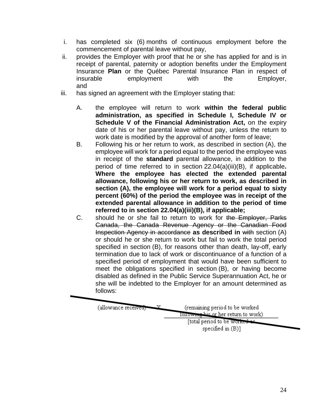- i. has completed six (6) months of continuous employment before the commencement of parental leave without pay,
- ii. provides the Employer with proof that he or she has applied for and is in receipt of parental, paternity or adoption benefits under the Employment Insurance **Plan** or the Québec Parental Insurance Plan in respect of insurable employment with the Employer, and
- iii. has signed an agreement with the Employer stating that:
	- A. the employee will return to work **within the federal public administration, as specified in Schedule I, Schedule IV or Schedule V of the Financial Administration Act, on the expiry** date of his or her parental leave without pay, unless the return to work date is modified by the approval of another form of leave;
	- B. Following his or her return to work, as described in section (A), the employee will work for a period equal to the period the employee was in receipt of the **standard** parental allowance, in addition to the period of time referred to in section 22.04(a)(iii)(B), if applicable**. Where the employee has elected the extended parental allowance, following his or her return to work, as described in section (A), the employee will work for a period equal to sixty percent (60%) of the period the employee was in receipt of the extended parental allowance in addition to the period of time referred to in section 22.04(a)(iii)(B), if applicable;**
	- C. should he or she fail to return to work for the Employer, Parks Canada, the Canada Revenue Agency or the Canadian Food Inspection Agency in accordance **as described in** with section (A) or should he or she return to work but fail to work the total period specified in section (B), for reasons other than death, lay-off, early termination due to lack of work or discontinuance of a function of a specified period of employment that would have been sufficient to meet the obligations specified in section (B), or having become disabled as defined in the Public Service Superannuation Act, he or she will be indebted to the Employer for an amount determined as follows:

(allowance received)

(remaining period to be worked following his or her return to work)

[total period to be worked as specified in  $(B)$ ]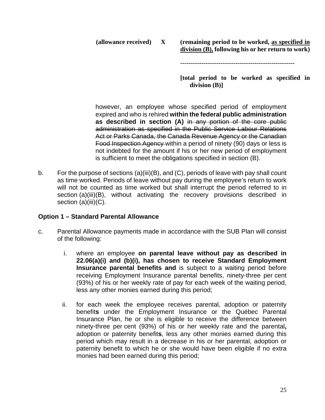**(allowance received) X (remaining period to be worked, as specified in division (B), following his or her return to work)**

**------------------------------------------------------**

**[total period to be worked as specified in division (B)]**

however, an employee whose specified period of employment expired and who is rehired **within the federal public administration as described in section (A)** in any portion of the core public administration as specified in the Public Service Labour Relations Act or Parks Canada, the Canada Revenue Agency or the Canadian Food Inspection Agency within a period of ninety (90) days or less is not indebted for the amount if his or her new period of employment is sufficient to meet the obligations specified in section (B).

b. For the purpose of sections (a)(iii)(B), and (C), periods of leave with pay shall count as time worked. Periods of leave without pay during the employee's return to work will not be counted as time worked but shall interrupt the period referred to in section (a)(iii)(B), without activating the recovery provisions described in section (a)(iii)(C).

#### **Option 1 – Standard Parental Allowance**

- c. Parental Allowance payments made in accordance with the SUB Plan will consist of the following:
	- i. where an employee **on parental leave without pay as described in 22.06(a)(i) and (b)(i), has chosen to receive Standard Employment Insurance parental benefits and** is subject to a waiting period before receiving Employment Insurance parental benefits, ninety-three per cent (93%) of his or her weekly rate of pay for each week of the waiting period, less any other monies earned during this period;
	- ii. for each week the employee receives parental, adoption or paternity benefit**s** under the Employment Insurance or the Québec Parental Insurance Plan, he or she is eligible to receive the difference between ninety-three per cent (93%) of his or her weekly rate and the parental**,**  adoption or paternity benefit**s**, less any other monies earned during this period which may result in a decrease in his or her parental, adoption or paternity benefit to which he or she would have been eligible if no extra monies had been earned during this period;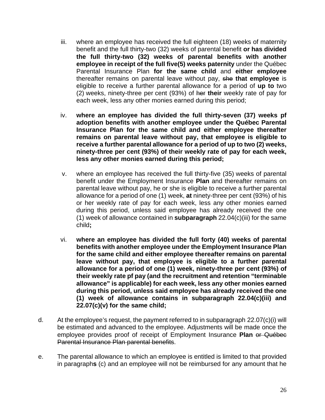- iii. where an employee has received the full eighteen (18) weeks of maternity benefit and the full thirty-two (32) weeks of parental benefit **or has divided the full thirty-two (32) weeks of parental benefits with another employee in receipt of the full five(5) weeks paternity** under the Québec Parental Insurance Plan **for the same child** and **either employee** thereafter remains on parental leave without pay, she **that employee** is eligible to receive a further parental allowance for a period of **up to** two (2) weeks, ninety-three per cent (93%) of her **their** weekly rate of pay for each week, less any other monies earned during this period;
- iv. **where an employee has divided the full thirty-seven (37) weeks pf adoption benefits with another employee under the Québec Parental Insurance Plan for the same child and either employee thereafter remains on parental leave without pay, that employee is eligible to receive a further parental allowance for a period of up to two (2) weeks, ninety-three per cent (93%) of their weekly rate of pay for each week, less any other monies earned during this period;**
- v. where an employee has received the full thirty-five (35) weeks of parental benefit under the Employment Insurance **Plan** and thereafter remains on parental leave without pay, he or she is eligible to receive a further parental allowance for a period of one (1) week, **at** ninety-three per cent (93%) of his or her weekly rate of pay for each week, less any other monies earned during this period, unless said employee has already received the one (1) week of allowance contained in **subparagraph** 22.04(c)(iii) for the same child**;**
- vi. **where an employee has divided the full forty (40) weeks of parental benefits with another employee under the Employment Insurance Plan for the same child and either employee thereafter remains on parental leave without pay, that employee is eligible to a further parental allowance for a period of one (1) week, ninety-three per cent (93%) of their weekly rate pf pay (and the recruitment and retention "terminable allowance" is applicable) for each week, less any other monies earned during this period, unless said employee has already received the one (1) week of allowance contains in subparagraph 22.04(c)(iii) and 22.07(c)(v) for the same child;**
- d. At the employee's request, the payment referred to in subparagraph 22.07(c)(i) will be estimated and advanced to the employee. Adjustments will be made once the employee provides proof of receipt of Employment Insurance **Plan** or Québec Parental Insurance Plan parental benefits.
- e. The parental allowance to which an employee is entitled is limited to that provided in paragraph**s** (c) and an employee will not be reimbursed for any amount that he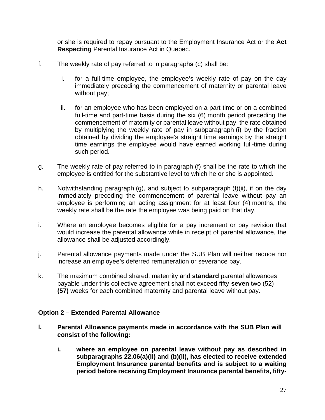or she is required to repay pursuant to the Employment Insurance Act or the **Act Respecting** Parental Insurance Act-in Quebec.

- f. The weekly rate of pay referred to in paragraph**s** (c) shall be:
	- i. for a full-time employee, the employee's weekly rate of pay on the day immediately preceding the commencement of maternity or parental leave without pay;
	- ii. for an employee who has been employed on a part-time or on a combined full-time and part-time basis during the six (6) month period preceding the commencement of maternity or parental leave without pay, the rate obtained by multiplying the weekly rate of pay in subparagraph (i) by the fraction obtained by dividing the employee's straight time earnings by the straight time earnings the employee would have earned working full-time during such period.
- g. The weekly rate of pay referred to in paragraph (f) shall be the rate to which the employee is entitled for the substantive level to which he or she is appointed.
- h. Notwithstanding paragraph (g), and subject to subparagraph (f)(ii), if on the day immediately preceding the commencement of parental leave without pay an employee is performing an acting assignment for at least four (4) months, the weekly rate shall be the rate the employee was being paid on that day.
- i. Where an employee becomes eligible for a pay increment or pay revision that would increase the parental allowance while in receipt of parental allowance, the allowance shall be adjusted accordingly.
- j. Parental allowance payments made under the SUB Plan will neither reduce nor increase an employee's deferred remuneration or severance pay.
- k. The maximum combined shared, maternity and **standard** parental allowances payable under this collective agreement shall not exceed fifty-**seven** two (52) **(57)** weeks for each combined maternity and parental leave without pay.

## **Option 2 – Extended Parental Allowance**

- **l. Parental Allowance payments made in accordance with the SUB Plan will consist of the following:** 
	- **i. where an employee on parental leave without pay as described in subparagraphs 22.06(a)(ii) and (b)(ii), has elected to receive extended Employment Insurance parental benefits and is subject to a waiting period before receiving Employment Insurance parental benefits, fifty-**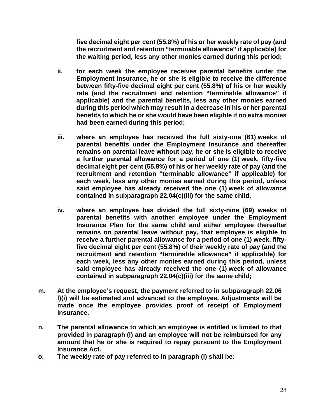**five decimal eight per cent (55.8%) of his or her weekly rate of pay (and the recruitment and retention "terminable allowance" if applicable) for the waiting period, less any other monies earned during this period;**

- **ii. for each week the employee receives parental benefits under the Employment Insurance, he or she is eligible to receive the difference between fifty-five decimal eight per cent (55.8%) of his or her weekly rate (and the recruitment and retention "terminable allowance" if applicable) and the parental benefits, less any other monies earned during this period which may result in a decrease in his or her parental benefits to which he or she would have been eligible if no extra monies had been earned during this period;**
- **iii. where an employee has received the full sixty-one (61) weeks of parental benefits under the Employment Insurance and thereafter remains on parental leave without pay, he or she is eligible to receive a further parental allowance for a period of one (1) week, fifty-five decimal eight per cent (55.8%) of his or her weekly rate of pay (and the recruitment and retention "terminable allowance" if applicable) for each week, less any other monies earned during this period, unless said employee has already received the one (1) week of allowance contained in subparagraph 22.04(c)(iii) for the same child.**
- **iv. where an employee has divided the full sixty-nine (69) weeks of parental benefits with another employee under the Employment Insurance Plan for the same child and either employee thereafter remains on parental leave without pay, that employee is eligible to receive a further parental allowance for a period of one (1) week, fiftyfive decimal eight per cent (55.8%) of their weekly rate of pay (and the recruitment and retention "terminable allowance" if applicable) for each week, less any other monies earned during this period, unless said employee has already received the one (1) week of allowance contained in subparagraph 22.04(c)(iii) for the same child;**
- **m. At the employee's request, the payment referred to in subparagraph 22.06 l)(i) will be estimated and advanced to the employee. Adjustments will be made once the employee provides proof of receipt of Employment Insurance.**
- **n. The parental allowance to which an employee is entitled is limited to that provided in paragraph (l) and an employee will not be reimbursed for any amount that he or she is required to repay pursuant to the Employment Insurance Act.**
- **o. The weekly rate of pay referred to in paragraph (l) shall be:**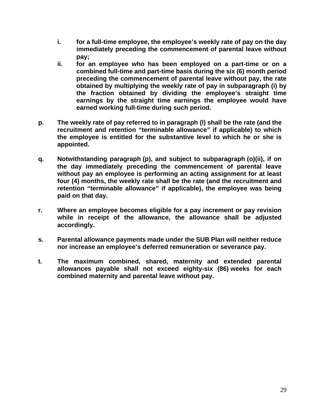- **i. for a full-time employee, the employee's weekly rate of pay on the day immediately preceding the commencement of parental leave without pay;**
- **ii. for an employee who has been employed on a part-time or on a combined full-time and part-time basis during the six (6) month period preceding the commencement of parental leave without pay, the rate obtained by multiplying the weekly rate of pay in subparagraph (i) by the fraction obtained by dividing the employee's straight time earnings by the straight time earnings the employee would have earned working full-time during such period.**
- **p. The weekly rate of pay referred to in paragraph (l) shall be the rate (and the recruitment and retention "terminable allowance" if applicable) to which the employee is entitled for the substantive level to which he or she is appointed.**
- **q. Notwithstanding paragraph (p), and subject to subparagraph (o)(ii), if on the day immediately preceding the commencement of parental leave without pay an employee is performing an acting assignment for at least four (4) months, the weekly rate shall be the rate (and the recruitment and retention "terminable allowance" if applicable), the employee was being paid on that day.**
- **r. Where an employee becomes eligible for a pay increment or pay revision while in receipt of the allowance, the allowance shall be adjusted accordingly.**
- **s. Parental allowance payments made under the SUB Plan will neither reduce nor increase an employee's deferred remuneration or severance pay.**
- **t. The maximum combined, shared, maternity and extended parental allowances payable shall not exceed eighty-six (86) weeks for each combined maternity and parental leave without pay.**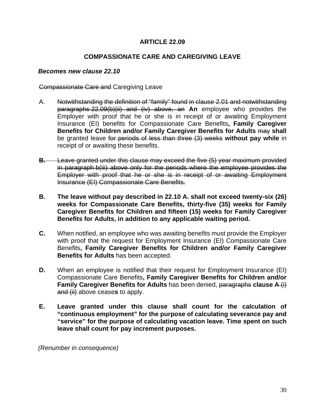#### **ARTICLE 22.09**

#### **COMPASSIONATE CARE AND CAREGIVING LEAVE**

#### *Becomes new clause 22.10*

#### Compassionate Care and Caregiving Leave

- A. Notwithstanding the definition of "family" found in clause 2.01 and notwithstanding paragraphs 22.09(b)(ii) and (iv) above, an **An** employee who provides the Employer with proof that he or she is in receipt of or awaiting Employment Insurance (EI) benefits for Compassionate Care Benefits**, Family Caregiver Benefits for Children and/or Family Caregiver Benefits for Adults** may **shall** be granted leave for periods of less than three (3) weeks **without pay while** in receipt of or awaiting these benefits.
- **B.** Leave granted under this clause may exceed the five (5) year maximum provided in paragraph b(iii) above only for the periods where the employee provides the Employer with proof that he or she is in receipt of or awaiting Employment Insurance (EI) Compassionate Care Benefits.
- **B. The leave without pay described in 22.10 A. shall not exceed twenty-six (26) weeks for Compassionate Care Benefits, thirty-five (35) weeks for Family Caregiver Benefits for Children and fifteen (15) weeks for Family Caregiver Benefits for Adults, in addition to any applicable waiting period.**
- **C.** When notified, an employee who was awaiting benefits must provide the Employer with proof that the request for Employment Insurance (EI) Compassionate Care Benefits**, Family Caregiver Benefits for Children and/or Family Caregiver Benefits for Adults** has been accepted.
- **D.** When an employee is notified that their request for Employment Insurance (EI) Compassionate Care Benefits**, Family Caregiver Benefits for Children and/or Family Caregiver Benefits for Adults** has been denied, paragraphs **clause A** (i) and (ii) above cease**s** to apply.
- **E. Leave granted under this clause shall count for the calculation of "continuous employment" for the purpose of calculating severance pay and "service" for the purpose of calculating vacation leave. Time spent on such leave shall count for pay increment purposes.**

*(Renumber in consequence)*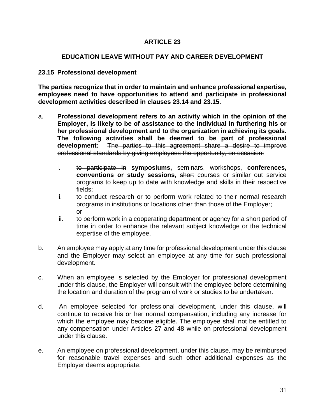#### **EDUCATION LEAVE WITHOUT PAY AND CAREER DEVELOPMENT**

#### **23.15 Professional development**

**The parties recognize that in order to maintain and enhance professional expertise, employees need to have opportunities to attend and participate in professional development activities described in clauses 23.14 and 23.15.**

- a. **Professional development refers to an activity which in the opinion of the Employer, is likely to be of assistance to the individual in furthering his or her professional development and to the organization in achieving its goals. The following activities shall be deemed to be part of professional development:** The parties to this agreement share a desire to improve professional standards by giving employees the opportunity, on occasion:
	- i. to participate in **symposiums,** seminars, workshops, **conferences, conventions or study sessions,** short courses or similar out service programs to keep up to date with knowledge and skills in their respective fields;
	- ii. to conduct research or to perform work related to their normal research programs in institutions or locations other than those of the Employer; or
	- iii. to perform work in a cooperating department or agency for a short period of time in order to enhance the relevant subject knowledge or the technical expertise of the employee.
- b. An employee may apply at any time for professional development under this clause and the Employer may select an employee at any time for such professional development.
- c. When an employee is selected by the Employer for professional development under this clause, the Employer will consult with the employee before determining the location and duration of the program of work or studies to be undertaken.
- d. An employee selected for professional development, under this clause, will continue to receive his or her normal compensation, including any increase for which the employee may become eligible. The employee shall not be entitled to any compensation under Articles 27 and 48 while on professional development under this clause.
- e. An employee on professional development, under this clause, may be reimbursed for reasonable travel expenses and such other additional expenses as the Employer deems appropriate.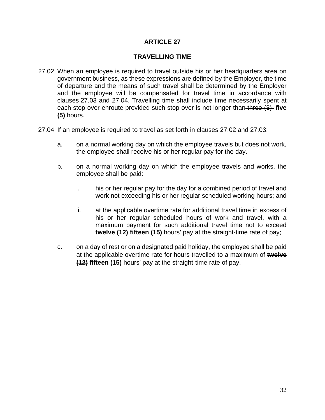#### **TRAVELLING TIME**

- 27.02 When an employee is required to travel outside his or her headquarters area on government business, as these expressions are defined by the Employer, the time of departure and the means of such travel shall be determined by the Employer and the employee will be compensated for travel time in accordance with clauses 27.03 and 27.04. Travelling time shall include time necessarily spent at each stop-over enroute provided such stop-over is not longer than three (3) five **(5)** hours.
- 27.04 If an employee is required to travel as set forth in clauses 27.02 and 27.03:
	- a. on a normal working day on which the employee travels but does not work, the employee shall receive his or her regular pay for the day.
	- b. on a normal working day on which the employee travels and works, the employee shall be paid:
		- i. his or her regular pay for the day for a combined period of travel and work not exceeding his or her regular scheduled working hours; and
		- ii. at the applicable overtime rate for additional travel time in excess of his or her regular scheduled hours of work and travel, with a maximum payment for such additional travel time not to exceed **twelve (12) fifteen (15)** hours' pay at the straight-time rate of pay;
	- c. on a day of rest or on a designated paid holiday, the employee shall be paid at the applicable overtime rate for hours travelled to a maximum of **twelve (12) fifteen (15)** hours' pay at the straight-time rate of pay.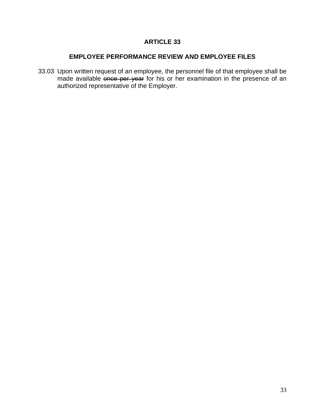## **EMPLOYEE PERFORMANCE REVIEW AND EMPLOYEE FILES**

33.03 Upon written request of an employee, the personnel file of that employee shall be made available once per year for his or her examination in the presence of an authorized representative of the Employer.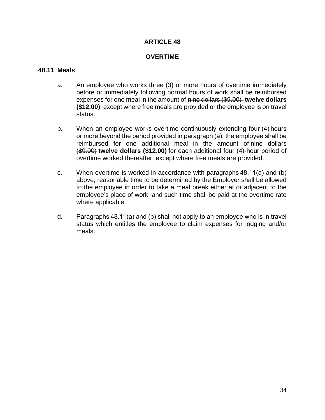#### **OVERTIME**

#### **48.11 Meals**

- a. An employee who works three (3) or more hours of overtime immediately before or immediately following normal hours of work shall be reimbursed expenses for one meal in the amount of nine dollars (\$9.00) **twelve dollars (\$12.00)**, except where free meals are provided or the employee is on travel status.
- b. When an employee works overtime continuously extending four (4) hours or more beyond the period provided in paragraph (a), the employee shall be reimbursed for one additional meal in the amount of nine dollars (\$9.00) **twelve dollars (\$12.00)** for each additional four (4)-hour period of overtime worked thereafter, except where free meals are provided.
- c. When overtime is worked in accordance with paragraphs 48.11(a) and (b) above, reasonable time to be determined by the Employer shall be allowed to the employee in order to take a meal break either at or adjacent to the employee's place of work, and such time shall be paid at the overtime rate where applicable.
- d. Paragraphs 48.11(a) and (b) shall not apply to an employee who is in travel status which entitles the employee to claim expenses for lodging and/or meals.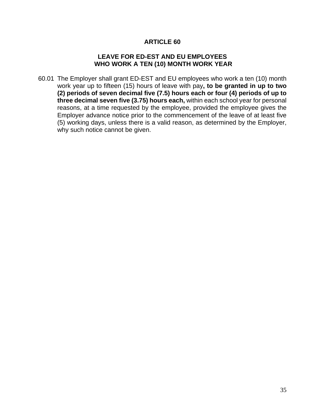#### **LEAVE FOR ED-EST AND EU EMPLOYEES WHO WORK A TEN (10) MONTH WORK YEAR**

60.01 The Employer shall grant ED-EST and EU employees who work a ten (10) month work year up to fifteen (15) hours of leave with pay**, to be granted in up to two (2) periods of seven decimal five (7.5) hours each or four (4) periods of up to three decimal seven five (3.75) hours each,** within each school year for personal reasons, at a time requested by the employee, provided the employee gives the Employer advance notice prior to the commencement of the leave of at least five (5) working days, unless there is a valid reason, as determined by the Employer, why such notice cannot be given.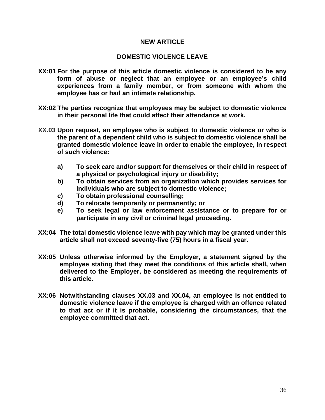#### **NEW ARTICLE**

#### **DOMESTIC VIOLENCE LEAVE**

- **XX:01 For the purpose of this article domestic violence is considered to be any form of abuse or neglect that an employee or an employee's child experiences from a family member, or from someone with whom the employee has or had an intimate relationship.**
- **XX:02 The parties recognize that employees may be subject to domestic violence in their personal life that could affect their attendance at work.**
- **XX.03 Upon request, an employee who is subject to domestic violence or who is the parent of a dependent child who is subject to domestic violence shall be granted domestic violence leave in order to enable the employee, in respect of such violence:**
	- **a) To seek care and/or support for themselves or their child in respect of a physical or psychological injury or disability;**
	- **b) To obtain services from an organization which provides services for individuals who are subject to domestic violence;**
	- **c) To obtain professional counselling;**
	- **d) To relocate temporarily or permanently; or**
	- **e) To seek legal or law enforcement assistance or to prepare for or participate in any civil or criminal legal proceeding.**
- **XX:04 The total domestic violence leave with pay which may be granted under this article shall not exceed seventy-five (75) hours in a fiscal year.**
- **XX:05 Unless otherwise informed by the Employer, a statement signed by the employee stating that they meet the conditions of this article shall, when delivered to the Employer, be considered as meeting the requirements of this article.**
- **XX:06 Notwithstanding clauses XX.03 and XX.04, an employee is not entitled to domestic violence leave if the employee is charged with an offence related to that act or if it is probable, considering the circumstances, that the employee committed that act.**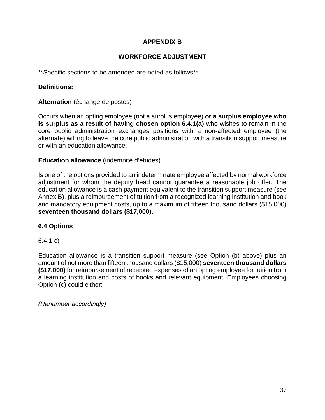## **APPENDIX B**

## **WORKFORCE ADJUSTMENT**

\*\*Specific sections to be amended are noted as follows\*\*

## **Definitions:**

## **Alternation** (échange de postes)

Occurs when an opting employee (not a surplus employee) **or a surplus employee who is surplus as a result of having chosen option 6.4.1(a)** who wishes to remain in the core public administration exchanges positions with a non-affected employee (the alternate) willing to leave the core public administration with a transition support measure or with an education allowance.

## **Education allowance** (indemnité d'études)

Is one of the options provided to an indeterminate employee affected by normal workforce adjustment for whom the deputy head cannot guarantee a reasonable job offer. The education allowance is a cash payment equivalent to the transition support measure (see Annex B), plus a reimbursement of tuition from a recognized learning institution and book and mandatory equipment costs, up to a maximum of fifteen thousand dollars (\$15,000) **seventeen thousand dollars (\$17,000).**

## **6.4 Options**

## 6.4.1 c)

Education allowance is a transition support measure (see Option (b) above) plus an amount of not more than fifteen thousand dollars (\$15,000) **seventeen thousand dollars (\$17,000)** for reimbursement of receipted expenses of an opting employee for tuition from a learning institution and costs of books and relevant equipment. Employees choosing Option (c) could either:

*(Renumber accordingly)*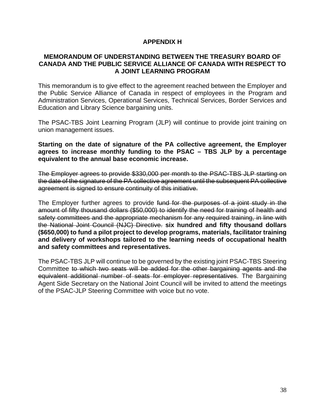#### **APPENDIX H**

#### **MEMORANDUM OF UNDERSTANDING BETWEEN THE TREASURY BOARD OF CANADA AND THE PUBLIC SERVICE ALLIANCE OF CANADA WITH RESPECT TO A JOINT LEARNING PROGRAM**

This memorandum is to give effect to the agreement reached between the Employer and the Public Service Alliance of Canada in respect of employees in the Program and Administration Services, Operational Services, Technical Services, Border Services and Education and Library Science bargaining units.

The PSAC-TBS Joint Learning Program (JLP) will continue to provide joint training on union management issues.

**Starting on the date of signature of the PA collective agreement, the Employer agrees to increase monthly funding to the PSAC – TBS JLP by a percentage equivalent to the annual base economic increase.**

The Employer agrees to provide \$330,000 per month to the PSAC-TBS JLP starting on the date of the signature of the PA collective agreement until the subsequent PA collective agreement is signed to ensure continuity of this initiative.

The Employer further agrees to provide fund for the purposes of a joint study in the amount of fifty thousand dollars (\$50,000) to identify the need for training of health and safety committees and the appropriate mechanism for any required training, in line with the National Joint Council (NJC) Directive. **six hundred and fifty thousand dollars (\$650,000) to fund a pilot project to develop programs, materials, facilitator training and delivery of workshops tailored to the learning needs of occupational health and safety committees and representatives.**

The PSAC-TBS JLP will continue to be governed by the existing joint PSAC-TBS Steering Committee to which two seats will be added for the other bargaining agents and the equivalent additional number of seats for employer representatives. The Bargaining Agent Side Secretary on the National Joint Council will be invited to attend the meetings of the PSAC-JLP Steering Committee with voice but no vote.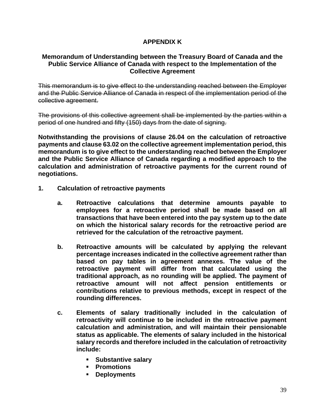## **APPENDIX K**

#### **Memorandum of Understanding between the Treasury Board of Canada and the Public Service Alliance of Canada with respect to the Implementation of the Collective Agreement**

This memorandum is to give effect to the understanding reached between the Employer and the Public Service Alliance of Canada in respect of the implementation period of the collective agreement.

The provisions of this collective agreement shall be implemented by the parties within a period of one hundred and fifty (150) days from the date of signing.

**Notwithstanding the provisions of clause 26.04 on the calculation of retroactive payments and clause 63.02 on the collective agreement implementation period, this memorandum is to give effect to the understanding reached between the Employer and the Public Service Alliance of Canada regarding a modified approach to the calculation and administration of retroactive payments for the current round of negotiations.**

- **1. Calculation of retroactive payments**
	- **a. Retroactive calculations that determine amounts payable to employees for a retroactive period shall be made based on all transactions that have been entered into the pay system up to the date on which the historical salary records for the retroactive period are retrieved for the calculation of the retroactive payment.**
	- **b. Retroactive amounts will be calculated by applying the relevant percentage increases indicated in the collective agreement rather than based on pay tables in agreement annexes. The value of the retroactive payment will differ from that calculated using the traditional approach, as no rounding will be applied. The payment of retroactive amount will not affect pension entitlements or contributions relative to previous methods, except in respect of the rounding differences.**
	- **c. Elements of salary traditionally included in the calculation of retroactivity will continue to be included in the retroactive payment calculation and administration, and will maintain their pensionable status as applicable. The elements of salary included in the historical salary records and therefore included in the calculation of retroactivity include:** 
		- **Substantive salary**
		- **Promotions**
		- **Deployments**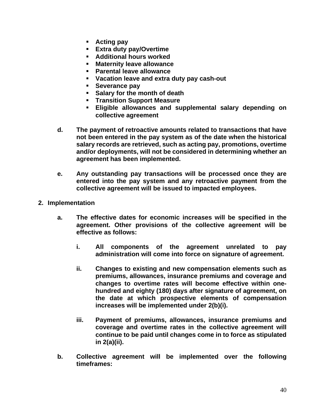- **Acting pay**
- **Extra duty pay/Overtime**
- **Additional hours worked**
- **Maternity leave allowance**
- **Parental leave allowance**
- **Vacation leave and extra duty pay cash-out**
- **Severance pay**
- **Salary for the month of death**
- **FIGURE 15 Transition Support Measure**
- **Eligible allowances and supplemental salary depending on collective agreement**
- **d. The payment of retroactive amounts related to transactions that have not been entered in the pay system as of the date when the historical salary records are retrieved, such as acting pay, promotions, overtime and/or deployments, will not be considered in determining whether an agreement has been implemented.**
- **e. Any outstanding pay transactions will be processed once they are entered into the pay system and any retroactive payment from the collective agreement will be issued to impacted employees.**
- **2. Implementation**
	- **a. The effective dates for economic increases will be specified in the agreement. Other provisions of the collective agreement will be effective as follows:**
		- **i. All components of the agreement unrelated to pay administration will come into force on signature of agreement.**
		- **ii. Changes to existing and new compensation elements such as premiums, allowances, insurance premiums and coverage and changes to overtime rates will become effective within onehundred and eighty (180) days after signature of agreement, on the date at which prospective elements of compensation increases will be implemented under 2(b)(i).**
		- **iii. Payment of premiums, allowances, insurance premiums and coverage and overtime rates in the collective agreement will continue to be paid until changes come in to force as stipulated in 2(a)(ii).**
	- **b. Collective agreement will be implemented over the following timeframes:**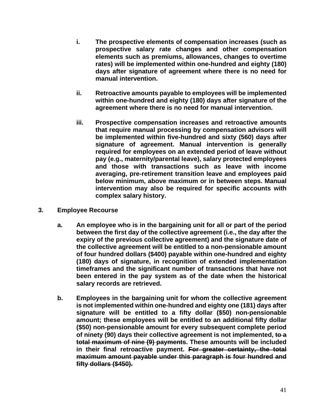- **i. The prospective elements of compensation increases (such as prospective salary rate changes and other compensation elements such as premiums, allowances, changes to overtime rates) will be implemented within one-hundred and eighty (180) days after signature of agreement where there is no need for manual intervention.**
- **ii. Retroactive amounts payable to employees will be implemented within one-hundred and eighty (180) days after signature of the agreement where there is no need for manual intervention.**
- **iii. Prospective compensation increases and retroactive amounts that require manual processing by compensation advisors will be implemented within five-hundred and sixty (560) days after signature of agreement. Manual intervention is generally required for employees on an extended period of leave without pay (e.g., maternity/parental leave), salary protected employees and those with transactions such as leave with income averaging, pre-retirement transition leave and employees paid below minimum, above maximum or in between steps. Manual intervention may also be required for specific accounts with complex salary history.**
- **3. Employee Recourse** 
	- **a. An employee who is in the bargaining unit for all or part of the period between the first day of the collective agreement (i.e., the day after the expiry of the previous collective agreement) and the signature date of the collective agreement will be entitled to a non-pensionable amount of four hundred dollars (\$400) payable within one-hundred and eighty (180) days of signature, in recognition of extended implementation timeframes and the significant number of transactions that have not been entered in the pay system as of the date when the historical salary records are retrieved.**
	- **b. Employees in the bargaining unit for whom the collective agreement is not implemented within one-hundred and eighty one (181) days after signature will be entitled to a fifty dollar (\$50) non-pensionable amount; these employees will be entitled to an additional fifty dollar (\$50) non-pensionable amount for every subsequent complete period of ninety (90) days their collective agreement is not implemented, to a total maximum of nine (9) payments. These amounts will be included in their final retroactive payment. For greater certainty, the total maximum amount payable under this paragraph is four hundred and fifty dollars (\$450).**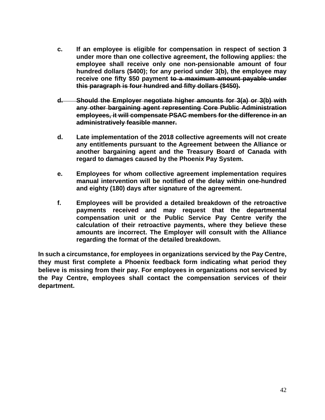- **c. If an employee is eligible for compensation in respect of section 3 under more than one collective agreement, the following applies: the employee shall receive only one non-pensionable amount of four hundred dollars (\$400); for any period under 3(b), the employee may receive one fifty \$50 payment to a maximum amount payable under this paragraph is four hundred and fifty dollars (\$450).**
- **d. Should the Employer negotiate higher amounts for 3(a) or 3(b) with any other bargaining agent representing Core Public Administration employees, it will compensate PSAC members for the difference in an administratively feasible manner.**
- **d. Late implementation of the 2018 collective agreements will not create any entitlements pursuant to the Agreement between the Alliance or another bargaining agent and the Treasury Board of Canada with regard to damages caused by the Phoenix Pay System.**
- **e. Employees for whom collective agreement implementation requires manual intervention will be notified of the delay within one-hundred and eighty (180) days after signature of the agreement.**
- **f. Employees will be provided a detailed breakdown of the retroactive payments received and may request that the departmental compensation unit or the Public Service Pay Centre verify the calculation of their retroactive payments, where they believe these amounts are incorrect. The Employer will consult with the Alliance regarding the format of the detailed breakdown.**

**In such a circumstance, for employees in organizations serviced by the Pay Centre, they must first complete a Phoenix feedback form indicating what period they believe is missing from their pay. For employees in organizations not serviced by the Pay Centre, employees shall contact the compensation services of their department.**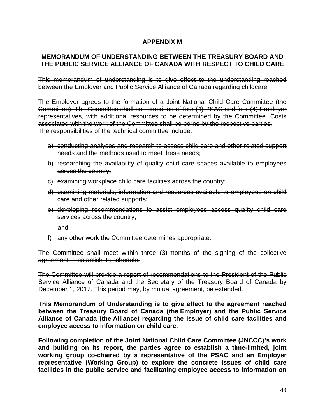## **APPENDIX M**

#### **MEMORANDUM OF UNDERSTANDING BETWEEN THE TREASURY BOARD AND THE PUBLIC SERVICE ALLIANCE OF CANADA WITH RESPECT TO CHILD CARE**

This memorandum of understanding is to give effect to the understanding reached between the Employer and Public Service Alliance of Canada regarding childcare.

The Employer agrees to the formation of a Joint National Child Care Committee (the Committee). The Committee shall be comprised of four (4) PSAC and four (4) Employer representatives, with additional resources to be determined by the Committee. Costs associated with the work of the Committee shall be borne by the respective parties. The responsibilities of the technical committee include:

- a) conducting analyses and research to assess child care and other related support needs and the methods used to meet these needs;
- b) researching the availability of quality child care spaces available to employees across the country;
- c) examining workplace child care facilities across the country;
- d) examining materials, information and resources available to employees on child care and other related supports;
- e) developing recommendations to assist employees access quality child care services across the country;

and

f) any other work the Committee determines appropriate.

The Committee shall meet within three (3) months of the signing of the collective agreement to establish its schedule.

The Committee will provide a report of recommendations to the President of the Public Service Alliance of Canada and the Secretary of the Treasury Board of Canada by December 1, 2017. This period may, by mutual agreement, be extended.

**This Memorandum of Understanding is to give effect to the agreement reached between the Treasury Board of Canada (the Employer) and the Public Service Alliance of Canada (the Alliance) regarding the issue of child care facilities and employee access to information on child care.** 

**Following completion of the Joint National Child Care Committee (JNCCC)'s work and building on its report, the parties agree to establish a time-limited, joint working group co-chaired by a representative of the PSAC and an Employer representative (Working Group) to explore the concrete issues of child care facilities in the public service and facilitating employee access to information on**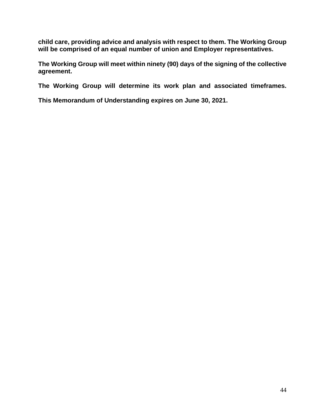**child care, providing advice and analysis with respect to them. The Working Group will be comprised of an equal number of union and Employer representatives.** 

**The Working Group will meet within ninety (90) days of the signing of the collective agreement.**

**The Working Group will determine its work plan and associated timeframes.**

**This Memorandum of Understanding expires on June 30, 2021.**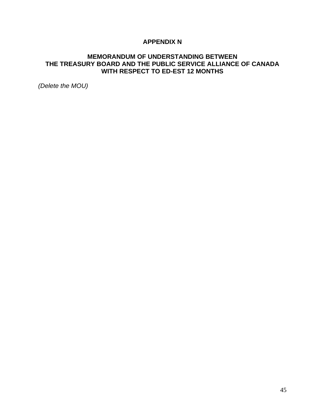## **APPENDIX N**

#### **MEMORANDUM OF UNDERSTANDING BETWEEN THE TREASURY BOARD AND THE PUBLIC SERVICE ALLIANCE OF CANADA WITH RESPECT TO ED-EST 12 MONTHS**

*(Delete the MOU)*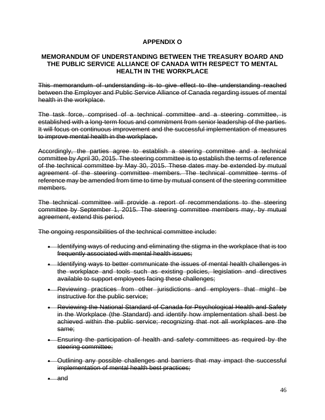## **APPENDIX O**

#### **MEMORANDUM OF UNDERSTANDING BETWEEN THE TREASURY BOARD AND THE PUBLIC SERVICE ALLIANCE OF CANADA WITH RESPECT TO MENTAL HEALTH IN THE WORKPLACE**

This memorandum of understanding is to give effect to the understanding reached between the Employer and Public Service Alliance of Canada regarding issues of mental health in the workplace.

The task force, comprised of a technical committee and a steering committee, is established with a long-term focus and commitment from senior leadership of the parties. It will focus on continuous improvement and the successful implementation of measures to improve mental health in the workplace.

Accordingly, the parties agree to establish a steering committee and a technical committee by April 30, 2015. The steering committee is to establish the terms of reference of the technical committee by May 30, 2015. These dates may be extended by mutual agreement of the steering committee members. The technical committee terms of reference may be amended from time to time by mutual consent of the steering committee members.

The technical committee will provide a report of recommendations to the steering committee by September 1, 2015. The steering committee members may, by mutual agreement, extend this period.

The ongoing responsibilities of the technical committee include:

- Identifying ways of reducing and eliminating the stigma in the workplace that is too frequently associated with mental health issues;
- Identifying ways to better communicate the issues of mental health challenges in the workplace and tools such as existing policies, legislation and directives available to support employees facing these challenges;
- Reviewing practices from other jurisdictions and employers that might be instructive for the public service;
- Reviewing the National Standard of Canada for Psychological Health and Safety in the Workplace (the Standard) and identify how implementation shall best be achieved within the public service; recognizing that not all workplaces are the same;
- Ensuring the participation of health and safety committees as required by the steering committee;
- Outlining any possible challenges and barriers that may impact the successful implementation of mental health best practices;

• and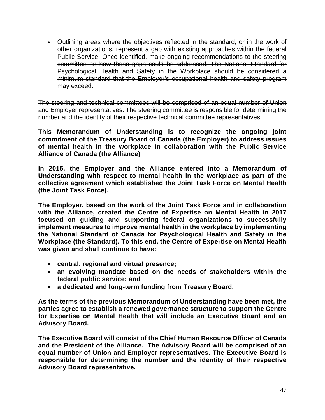• Outlining areas where the objectives reflected in the standard, or in the work of other organizations, represent a gap with existing approaches within the federal Public Service. Once identified, make ongoing recommendations to the steering committee on how those gaps could be addressed. The National Standard for Psychological Health and Safety in the Workplace should be considered a minimum standard that the Employer's occupational health and safety program may exceed.

The steering and technical committees will be comprised of an equal number of Union and Employer representatives. The steering committee is responsible for determining the number and the identity of their respective technical committee representatives.

**This Memorandum of Understanding is to recognize the ongoing joint commitment of the Treasury Board of Canada (the Employer) to address issues of mental health in the workplace in collaboration with the Public Service Alliance of Canada (the Alliance)**

**In 2015, the Employer and the Alliance entered into a Memorandum of Understanding with respect to mental health in the workplace as part of the collective agreement which established the Joint Task Force on Mental Health (the Joint Task Force).**

**The Employer, based on the work of the Joint Task Force and in collaboration with the Alliance, created the Centre of Expertise on Mental Health in 2017 focused on guiding and supporting federal organizations to successfully implement measures to improve mental health in the workplace by implementing the National Standard of Canada for Psychological Health and Safety in the Workplace (the Standard). To this end, the Centre of Expertise on Mental Health was given and shall continue to have:**

- **central, regional and virtual presence;**
- **an evolving mandate based on the needs of stakeholders within the federal public service; and**
- **a dedicated and long-term funding from Treasury Board.**

**As the terms of the previous Memorandum of Understanding have been met, the parties agree to establish a renewed governance structure to support the Centre for Expertise on Mental Health that will include an Executive Board and an Advisory Board.**

**The Executive Board will consist of the Chief Human Resource Officer of Canada and the President of the Alliance. The Advisory Board will be comprised of an equal number of Union and Employer representatives. The Executive Board is responsible for determining the number and the identity of their respective Advisory Board representative.**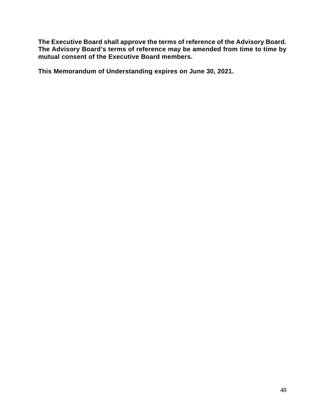**The Executive Board shall approve the terms of reference of the Advisory Board. The Advisory Board's terms of reference may be amended from time to time by mutual consent of the Executive Board members.**

**This Memorandum of Understanding expires on June 30, 2021.**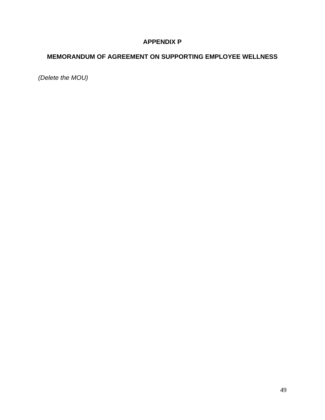## **APPENDIX P**

## **MEMORANDUM OF AGREEMENT ON SUPPORTING EMPLOYEE WELLNESS**

*(Delete the MOU)*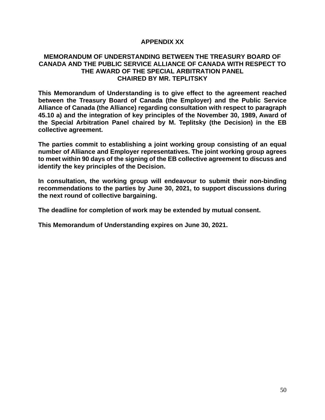#### **APPENDIX XX**

#### **MEMORANDUM OF UNDERSTANDING BETWEEN THE TREASURY BOARD OF CANADA AND THE PUBLIC SERVICE ALLIANCE OF CANADA WITH RESPECT TO THE AWARD OF THE SPECIAL ARBITRATION PANEL CHAIRED BY MR. TEPLITSKY**

**This Memorandum of Understanding is to give effect to the agreement reached between the Treasury Board of Canada (the Employer) and the Public Service Alliance of Canada (the Alliance) regarding consultation with respect to paragraph 45.10 a) and the integration of key principles of the November 30, 1989, Award of the Special Arbitration Panel chaired by M. Teplitsky (the Decision) in the EB collective agreement.**

**The parties commit to establishing a joint working group consisting of an equal number of Alliance and Employer representatives. The joint working group agrees to meet within 90 days of the signing of the EB collective agreement to discuss and identify the key principles of the Decision.**

**In consultation, the working group will endeavour to submit their non-binding recommendations to the parties by June 30, 2021, to support discussions during the next round of collective bargaining.**

**The deadline for completion of work may be extended by mutual consent.**

**This Memorandum of Understanding expires on June 30, 2021.**